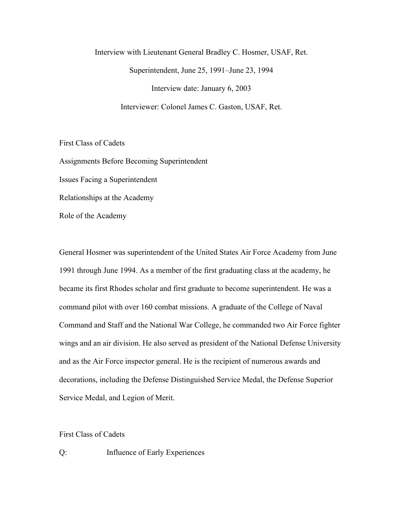Interview with Lieutenant General Bradley C. Hosmer, USAF, Ret. Superintendent, June 25, 1991–June 23, 1994 Interview date: January 6, 2003 Interviewer: Colonel James C. Gaston, USAF, Ret.

First Class of Cadets

Assignments Before Becoming Superintendent Issues Facing a Superintendent Relationships at the Academy Role of the Academy

General Hosmer was superintendent of the United States Air Force Academy from June 1991 through June 1994. As a member of the first graduating class at the academy, he became its first Rhodes scholar and first graduate to become superintendent. He was a command pilot with over 160 combat missions. A graduate of the College of Naval Command and Staff and the National War College, he commanded two Air Force fighter wings and an air division. He also served as president of the National Defense University and as the Air Force inspector general. He is the recipient of numerous awards and decorations, including the Defense Distinguished Service Medal, the Defense Superior Service Medal, and Legion of Merit.

First Class of Cadets

Q: Influence of Early Experiences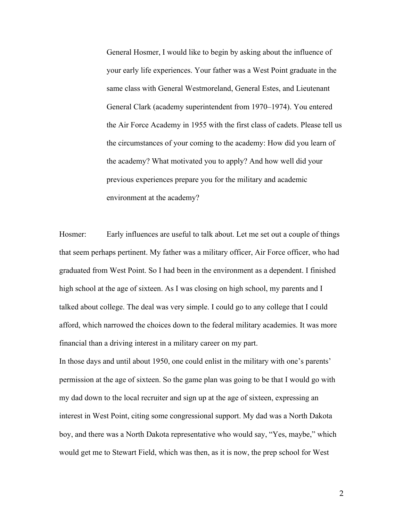General Hosmer, I would like to begin by asking about the influence of your early life experiences. Your father was a West Point graduate in the same class with General Westmoreland, General Estes, and Lieutenant General Clark (academy superintendent from 1970–1974). You entered the Air Force Academy in 1955 with the first class of cadets. Please tell us the circumstances of your coming to the academy: How did you learn of the academy? What motivated you to apply? And how well did your previous experiences prepare you for the military and academic environment at the academy?

Hosmer: Early influences are useful to talk about. Let me set out a couple of things that seem perhaps pertinent. My father was a military officer, Air Force officer, who had graduated from West Point. So I had been in the environment as a dependent. I finished high school at the age of sixteen. As I was closing on high school, my parents and I talked about college. The deal was very simple. I could go to any college that I could afford, which narrowed the choices down to the federal military academies. It was more financial than a driving interest in a military career on my part.

In those days and until about 1950, one could enlist in the military with one's parents' permission at the age of sixteen. So the game plan was going to be that I would go with my dad down to the local recruiter and sign up at the age of sixteen, expressing an interest in West Point, citing some congressional support. My dad was a North Dakota boy, and there was a North Dakota representative who would say, "Yes, maybe," which would get me to Stewart Field, which was then, as it is now, the prep school for West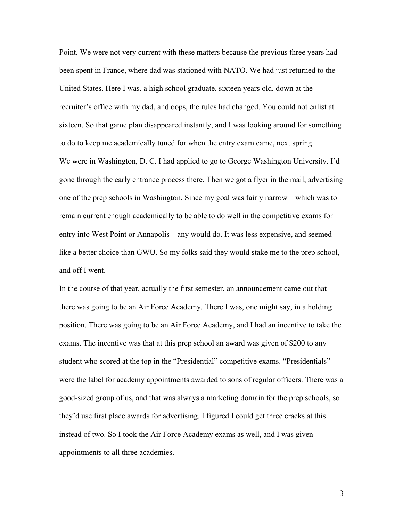Point. We were not very current with these matters because the previous three years had been spent in France, where dad was stationed with NATO. We had just returned to the United States. Here I was, a high school graduate, sixteen years old, down at the recruiter's office with my dad, and oops, the rules had changed. You could not enlist at sixteen. So that game plan disappeared instantly, and I was looking around for something to do to keep me academically tuned for when the entry exam came, next spring. We were in Washington, D. C. I had applied to go to George Washington University. I'd gone through the early entrance process there. Then we got a flyer in the mail, advertising one of the prep schools in Washington. Since my goal was fairly narrow—which was to remain current enough academically to be able to do well in the competitive exams for entry into West Point or Annapolis—any would do. It was less expensive, and seemed like a better choice than GWU. So my folks said they would stake me to the prep school, and off I went.

In the course of that year, actually the first semester, an announcement came out that there was going to be an Air Force Academy. There I was, one might say, in a holding position. There was going to be an Air Force Academy, and I had an incentive to take the exams. The incentive was that at this prep school an award was given of \$200 to any student who scored at the top in the "Presidential" competitive exams. "Presidentials" were the label for academy appointments awarded to sons of regular officers. There was a good-sized group of us, and that was always a marketing domain for the prep schools, so they'd use first place awards for advertising. I figured I could get three cracks at this instead of two. So I took the Air Force Academy exams as well, and I was given appointments to all three academies.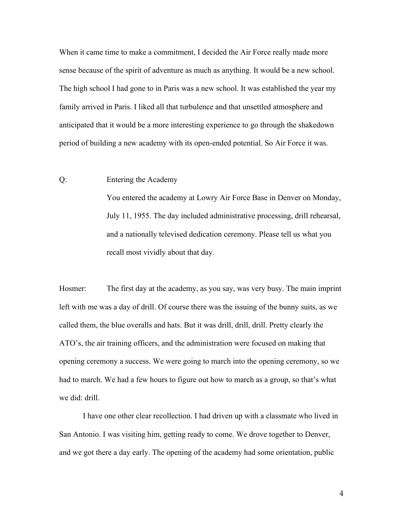When it came time to make a commitment, I decided the Air Force really made more sense because of the spirit of adventure as much as anything. It would be a new school. The high school I had gone to in Paris was a new school. It was established the year my family arrived in Paris. I liked all that turbulence and that unsettled atmosphere and anticipated that it would be a more interesting experience to go through the shakedown period of building a new academy with its open-ended potential. So Air Force it was.

### Q: Entering the Academy

You entered the academy at Lowry Air Force Base in Denver on Monday, July 11, 1955. The day included administrative processing, drill rehearsal, and a nationally televised dedication ceremony. Please tell us what you recall most vividly about that day.

Hosmer: The first day at the academy, as you say, was very busy. The main imprint left with me was a day of drill. Of course there was the issuing of the bunny suits, as we called them, the blue overalls and hats. But it was drill, drill, drill. Pretty clearly the ATO's, the air training officers, and the administration were focused on making that opening ceremony a success. We were going to march into the opening ceremony, so we had to march. We had a few hours to figure out how to march as a group, so that's what we did: drill.

I have one other clear recollection. I had driven up with a classmate who lived in San Antonio. I was visiting him, getting ready to come. We drove together to Denver, and we got there a day early. The opening of the academy had some orientation, public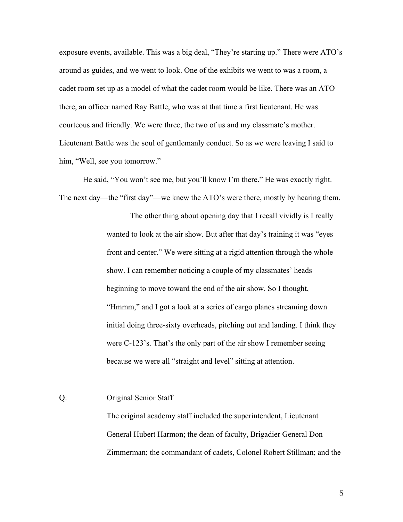exposure events, available. This was a big deal, "They're starting up." There were ATO's around as guides, and we went to look. One of the exhibits we went to was a room, a cadet room set up as a model of what the cadet room would be like. There was an ATO there, an officer named Ray Battle, who was at that time a first lieutenant. He was courteous and friendly. We were three, the two of us and my classmate's mother. Lieutenant Battle was the soul of gentlemanly conduct. So as we were leaving I said to him, "Well, see you tomorrow."

He said, "You won't see me, but you'll know I'm there." He was exactly right. The next day—the "first day"—we knew the ATO's were there, mostly by hearing them.

> The other thing about opening day that I recall vividly is I really wanted to look at the air show. But after that day's training it was "eyes front and center." We were sitting at a rigid attention through the whole show. I can remember noticing a couple of my classmates' heads beginning to move toward the end of the air show. So I thought, "Hmmm," and I got a look at a series of cargo planes streaming down initial doing three-sixty overheads, pitching out and landing. I think they were C-123's. That's the only part of the air show I remember seeing because we were all "straight and level" sitting at attention.

# Q: Original Senior Staff

The original academy staff included the superintendent, Lieutenant General Hubert Harmon; the dean of faculty, Brigadier General Don Zimmerman; the commandant of cadets, Colonel Robert Stillman; and the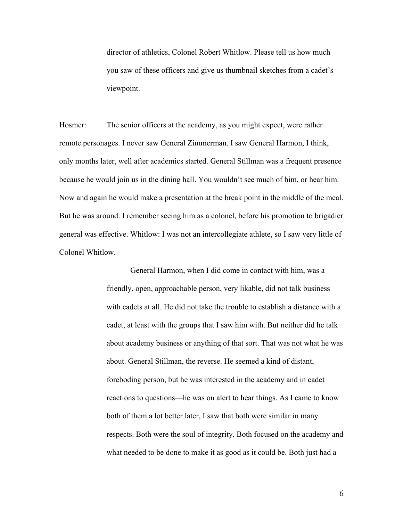director of athletics, Colonel Robert Whitlow. Please tell us how much you saw of these officers and give us thumbnail sketches from a cadet's viewpoint.

Hosmer: The senior officers at the academy, as you might expect, were rather remote personages. I never saw General Zimmerman. I saw General Harmon, I think, only months later, well after academics started. General Stillman was a frequent presence because he would join us in the dining hall. You wouldn't see much of him, or hear him. Now and again he would make a presentation at the break point in the middle of the meal. But he was around. I remember seeing him as a colonel, before his promotion to brigadier general was effective. Whitlow: I was not an intercollegiate athlete, so I saw very little of Colonel Whitlow.

> General Harmon, when I did come in contact with him, was a friendly, open, approachable person, very likable, did not talk business with cadets at all. He did not take the trouble to establish a distance with a cadet, at least with the groups that I saw him with. But neither did he talk about academy business or anything of that sort. That was not what he was about. General Stillman, the reverse. He seemed a kind of distant, foreboding person, but he was interested in the academy and in cadet reactions to questions—he was on alert to hear things. As I came to know both of them a lot better later, I saw that both were similar in many respects. Both were the soul of integrity. Both focused on the academy and what needed to be done to make it as good as it could be. Both just had a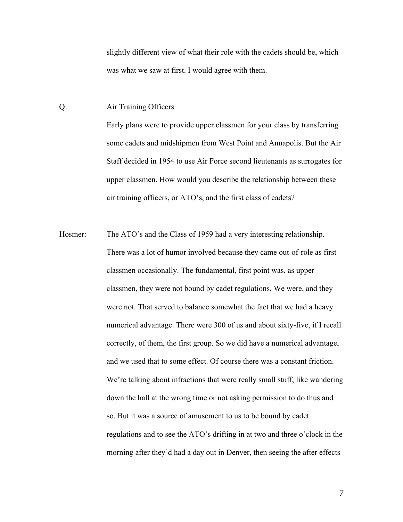slightly different view of what their role with the cadets should be, which was what we saw at first. I would agree with them.

#### Q: Air Training Officers

Early plans were to provide upper classmen for your class by transferring some cadets and midshipmen from West Point and Annapolis. But the Air Staff decided in 1954 to use Air Force second lieutenants as surrogates for upper classmen. How would you describe the relationship between these air training officers, or ATO's, and the first class of cadets?

Hosmer: The ATO's and the Class of 1959 had a very interesting relationship. There was a lot of humor involved because they came out-of-role as first classmen occasionally. The fundamental, first point was, as upper classmen, they were not bound by cadet regulations. We were, and they were not. That served to balance somewhat the fact that we had a heavy numerical advantage. There were 300 of us and about sixty-five, if I recall correctly, of them, the first group. So we did have a numerical advantage, and we used that to some effect. Of course there was a constant friction. We're talking about infractions that were really small stuff, like wandering down the hall at the wrong time or not asking permission to do thus and so. But it was a source of amusement to us to be bound by cadet regulations and to see the ATO's drifting in at two and three o'clock in the morning after they'd had a day out in Denver, then seeing the after effects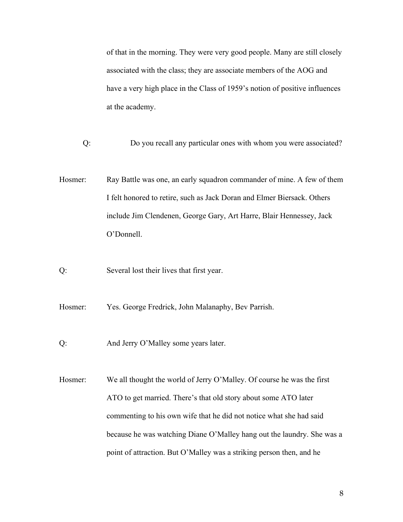of that in the morning. They were very good people. Many are still closely associated with the class; they are associate members of the AOG and have a very high place in the Class of 1959's notion of positive influences at the academy.

- Q: Do you recall any particular ones with whom you were associated?
- Hosmer: Ray Battle was one, an early squadron commander of mine. A few of them I felt honored to retire, such as Jack Doran and Elmer Biersack. Others include Jim Clendenen, George Gary, Art Harre, Blair Hennessey, Jack O'Donnell.
- Q: Several lost their lives that first year.
- Hosmer: Yes. George Fredrick, John Malanaphy, Bev Parrish.
- Q: And Jerry O'Malley some years later.
- Hosmer: We all thought the world of Jerry O'Malley. Of course he was the first ATO to get married. There's that old story about some ATO later commenting to his own wife that he did not notice what she had said because he was watching Diane O'Malley hang out the laundry. She was a point of attraction. But O'Malley was a striking person then, and he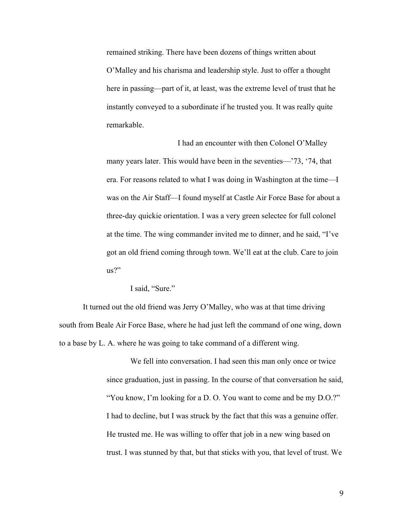remained striking. There have been dozens of things written about O'Malley and his charisma and leadership style. Just to offer a thought here in passing—part of it, at least, was the extreme level of trust that he instantly conveyed to a subordinate if he trusted you. It was really quite remarkable.

I had an encounter with then Colonel O'Malley many years later. This would have been in the seventies—'73, '74, that era. For reasons related to what I was doing in Washington at the time—I was on the Air Staff—I found myself at Castle Air Force Base for about a three-day quickie orientation. I was a very green selectee for full colonel at the time. The wing commander invited me to dinner, and he said, "I've got an old friend coming through town. We'll eat at the club. Care to join us?"

I said, "Sure."

It turned out the old friend was Jerry O'Malley, who was at that time driving south from Beale Air Force Base, where he had just left the command of one wing, down to a base by L. A. where he was going to take command of a different wing.

> We fell into conversation. I had seen this man only once or twice since graduation, just in passing. In the course of that conversation he said, "You know, I'm looking for a D. O. You want to come and be my D.O.?" I had to decline, but I was struck by the fact that this was a genuine offer. He trusted me. He was willing to offer that job in a new wing based on trust. I was stunned by that, but that sticks with you, that level of trust. We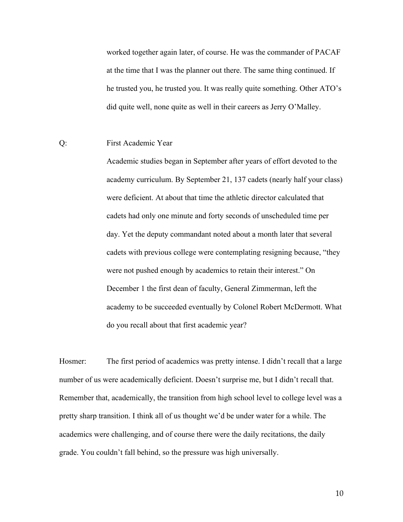worked together again later, of course. He was the commander of PACAF at the time that I was the planner out there. The same thing continued. If he trusted you, he trusted you. It was really quite something. Other ATO's did quite well, none quite as well in their careers as Jerry O'Malley.

## Q: First Academic Year

Academic studies began in September after years of effort devoted to the academy curriculum. By September 21, 137 cadets (nearly half your class) were deficient. At about that time the athletic director calculated that cadets had only one minute and forty seconds of unscheduled time per day. Yet the deputy commandant noted about a month later that several cadets with previous college were contemplating resigning because, "they were not pushed enough by academics to retain their interest." On December 1 the first dean of faculty, General Zimmerman, left the academy to be succeeded eventually by Colonel Robert McDermott. What do you recall about that first academic year?

Hosmer: The first period of academics was pretty intense. I didn't recall that a large number of us were academically deficient. Doesn't surprise me, but I didn't recall that. Remember that, academically, the transition from high school level to college level was a pretty sharp transition. I think all of us thought we'd be under water for a while. The academics were challenging, and of course there were the daily recitations, the daily grade. You couldn't fall behind, so the pressure was high universally.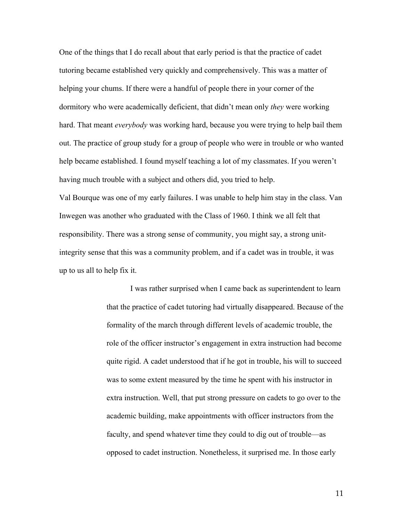One of the things that I do recall about that early period is that the practice of cadet tutoring became established very quickly and comprehensively. This was a matter of helping your chums. If there were a handful of people there in your corner of the dormitory who were academically deficient, that didn't mean only *they* were working hard. That meant *everybody* was working hard, because you were trying to help bail them out. The practice of group study for a group of people who were in trouble or who wanted help became established. I found myself teaching a lot of my classmates. If you weren't having much trouble with a subject and others did, you tried to help.

Val Bourque was one of my early failures. I was unable to help him stay in the class. Van Inwegen was another who graduated with the Class of 1960. I think we all felt that responsibility. There was a strong sense of community, you might say, a strong unitintegrity sense that this was a community problem, and if a cadet was in trouble, it was up to us all to help fix it.

> I was rather surprised when I came back as superintendent to learn that the practice of cadet tutoring had virtually disappeared. Because of the formality of the march through different levels of academic trouble, the role of the officer instructor's engagement in extra instruction had become quite rigid. A cadet understood that if he got in trouble, his will to succeed was to some extent measured by the time he spent with his instructor in extra instruction. Well, that put strong pressure on cadets to go over to the academic building, make appointments with officer instructors from the faculty, and spend whatever time they could to dig out of trouble—as opposed to cadet instruction. Nonetheless, it surprised me. In those early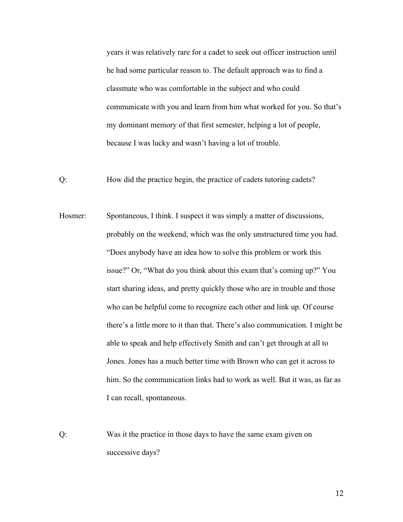years it was relatively rare for a cadet to seek out officer instruction until he had some particular reason to. The default approach was to find a classmate who was comfortable in the subject and who could communicate with you and learn from him what worked for you. So that's my dominant memory of that first semester, helping a lot of people, because I was lucky and wasn't having a lot of trouble.

- Q: How did the practice begin, the practice of cadets tutoring cadets?
- Hosmer: Spontaneous, I think. I suspect it was simply a matter of discussions, probably on the weekend, which was the only unstructured time you had. "Does anybody have an idea how to solve this problem or work this issue?" Or, "What do you think about this exam that's coming up?" You start sharing ideas, and pretty quickly those who are in trouble and those who can be helpful come to recognize each other and link up. Of course there's a little more to it than that. There's also communication. I might be able to speak and help effectively Smith and can't get through at all to Jones. Jones has a much better time with Brown who can get it across to him. So the communication links had to work as well. But it was, as far as I can recall, spontaneous.
- Q: Was it the practice in those days to have the same exam given on successive days?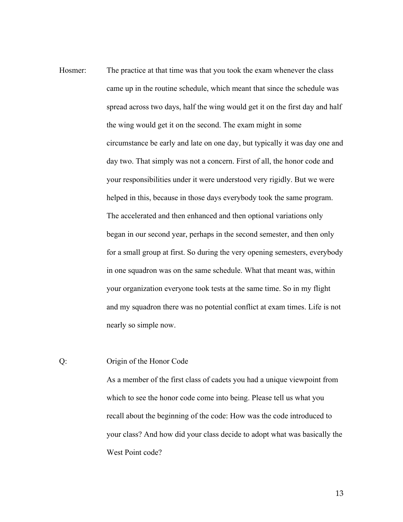Hosmer: The practice at that time was that you took the exam whenever the class came up in the routine schedule, which meant that since the schedule was spread across two days, half the wing would get it on the first day and half the wing would get it on the second. The exam might in some circumstance be early and late on one day, but typically it was day one and day two. That simply was not a concern. First of all, the honor code and your responsibilities under it were understood very rigidly. But we were helped in this, because in those days everybody took the same program. The accelerated and then enhanced and then optional variations only began in our second year, perhaps in the second semester, and then only for a small group at first. So during the very opening semesters, everybody in one squadron was on the same schedule. What that meant was, within your organization everyone took tests at the same time. So in my flight and my squadron there was no potential conflict at exam times. Life is not nearly so simple now.

## Q: Origin of the Honor Code

As a member of the first class of cadets you had a unique viewpoint from which to see the honor code come into being. Please tell us what you recall about the beginning of the code: How was the code introduced to your class? And how did your class decide to adopt what was basically the West Point code?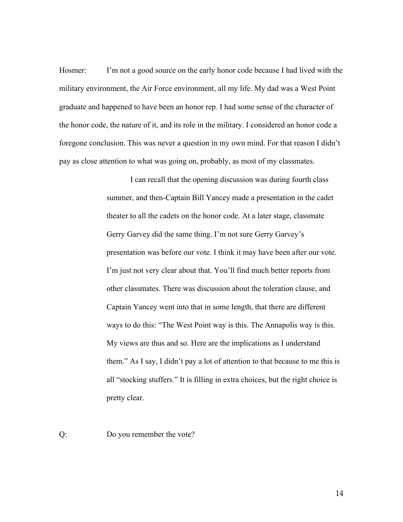Hosmer: I'm not a good source on the early honor code because I had lived with the military environment, the Air Force environment, all my life. My dad was a West Point graduate and happened to have been an honor rep. I had some sense of the character of the honor code, the nature of it, and its role in the military. I considered an honor code a foregone conclusion. This was never a question in my own mind. For that reason I didn't pay as close attention to what was going on, probably, as most of my classmates.

> I can recall that the opening discussion was during fourth class summer, and then-Captain Bill Yancey made a presentation in the cadet theater to all the cadets on the honor code. At a later stage, classmate Gerry Garvey did the same thing. I'm not sure Gerry Garvey's presentation was before our vote. I think it may have been after our vote. I'm just not very clear about that. You'll find much better reports from other classmates. There was discussion about the toleration clause, and Captain Yancey went into that in some length, that there are different ways to do this: "The West Point way is this. The Annapolis way is this. My views are thus and so. Here are the implications as I understand them." As I say, I didn't pay a lot of attention to that because to me this is all "stocking stuffers." It is filling in extra choices, but the right choice is pretty clear.

Q: Do you remember the vote?